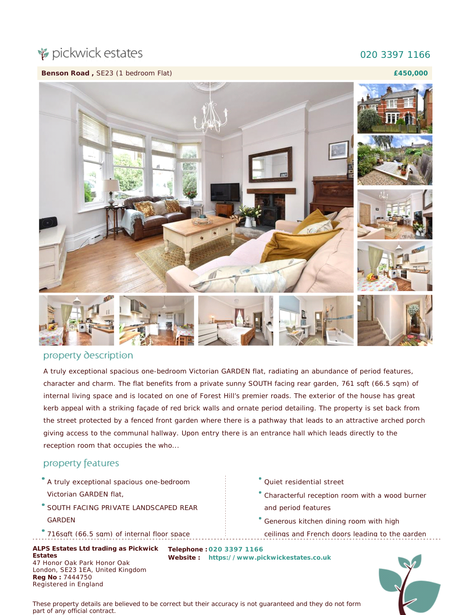# pickwick estates

### 020 3397 1166

**Benson Road ,** SE23 (1 bedroom Flat)

**£450,000**



#### property description

A truly exceptional spacious one-bedroom Victorian GARDEN flat, radiating an abundance of period features, character and charm. The flat benefits from a private sunny SOUTH facing rear garden, 761 sqft (66.5 sqm) of internal living space and is located on one of Forest Hill's premier roads. The exterior of the house has great kerb appeal with a striking façade of red brick walls and ornate period detailing. The property is set back from the street protected by a fenced front garden where there is a pathway that leads to an attractive arched porch giving access to the communal hallway. Upon entry there is an entrance hall which leads directly to the reception room that occupies the who...

#### property features

- A truly exceptional spacious one-bedroom
- Victorian GARDEN flat,
- SOUTH FACING PRIVATE LANDSCAPED REAR GARDEN
- 716sqft (66.5 sqm) of internal floor space

**Estates** 47 Honor Oak Park Honor Oak London, SE23 1EA, United Kingdom **Reg No :** 7444750 Registered in England

- Quiet residential street
- Characterful reception room with a wood burner and period features
- Generous kitchen dining room with high ceilings and French doors leading to the garden

ALPS Estates Ltd trading as Pickwick Telephone : 020 3397 1166 **Website : [https://www.pickwickestates.co.uk](https://www.pickwickestates.co.uk/)**

*These property details are believed to be correct but their accuracy is not guaranteed and they do not form part of any official contract.*